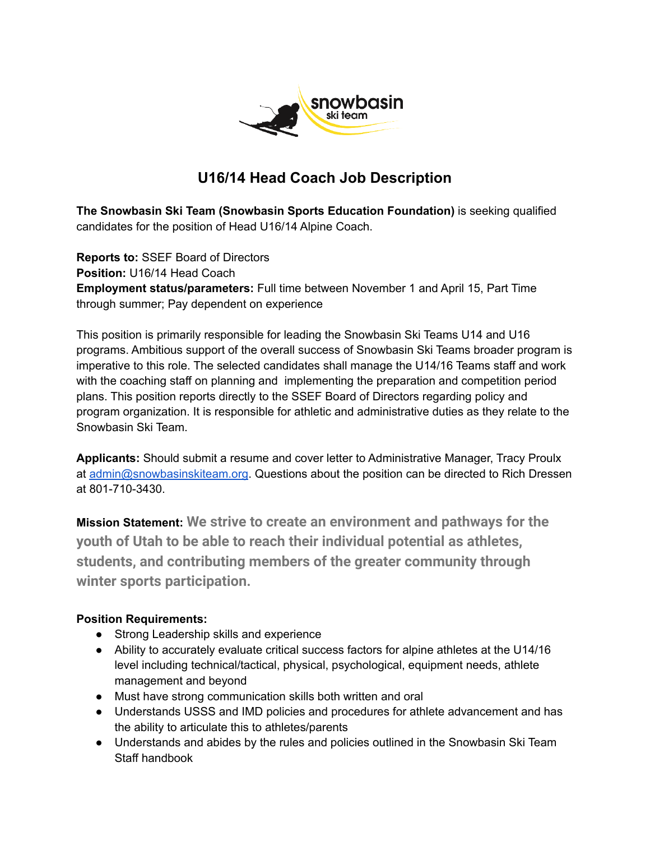

# **U16/14 Head Coach Job Description**

**The Snowbasin Ski Team (Snowbasin Sports Education Foundation)** is seeking qualified candidates for the position of Head U16/14 Alpine Coach.

**Reports to:** SSEF Board of Directors **Position:** U16/14 Head Coach **Employment status/parameters:** Full time between November 1 and April 15, Part Time through summer; Pay dependent on experience

This position is primarily responsible for leading the Snowbasin Ski Teams U14 and U16 programs. Ambitious support of the overall success of Snowbasin Ski Teams broader program is imperative to this role. The selected candidates shall manage the U14/16 Teams staff and work with the coaching staff on planning and implementing the preparation and competition period plans. This position reports directly to the SSEF Board of Directors regarding policy and program organization. It is responsible for athletic and administrative duties as they relate to the Snowbasin Ski Team.

**Applicants:** Should submit a resume and cover letter to Administrative Manager, Tracy Proulx at [admin@snowbasinskiteam.org](mailto:admin@snowbasinskiteam.org). Questions about the position can be directed to Rich Dressen at 801-710-3430.

**Mission Statement: We strive to create an environment and pathways for the youth of Utah to be able to reach their individual potential as athletes, students, and contributing members of the greater community through winter sports participation.**

## **Position Requirements:**

- Strong Leadership skills and experience
- Ability to accurately evaluate critical success factors for alpine athletes at the U14/16 level including technical/tactical, physical, psychological, equipment needs, athlete management and beyond
- Must have strong communication skills both written and oral
- Understands USSS and IMD policies and procedures for athlete advancement and has the ability to articulate this to athletes/parents
- Understands and abides by the rules and policies outlined in the Snowbasin Ski Team Staff handbook